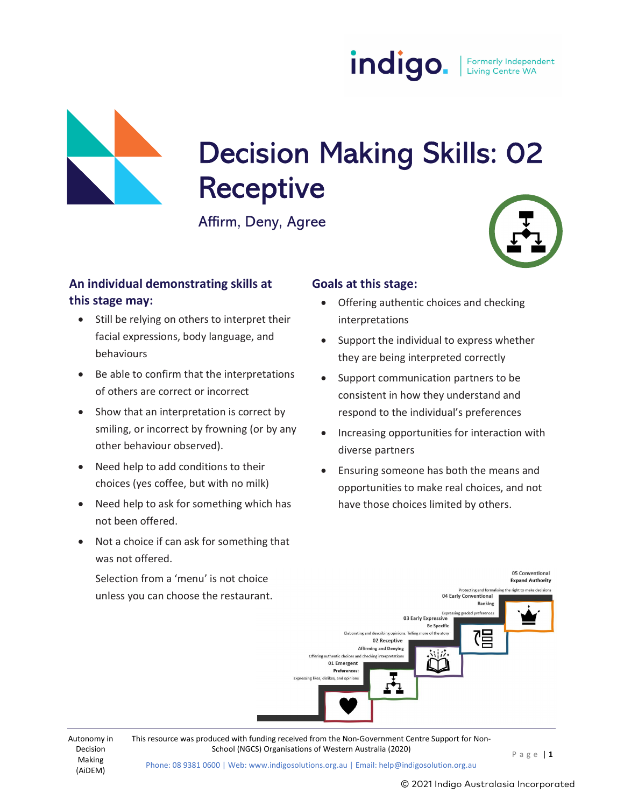indigo. Formerly Independent<br>Living Centre WA

# Decision Making Skills: 02<br>Receptive

Affirm, Deny, Agree

# An individual demonstrating skills at this stage may:

- Still be relying on others to interpret their facial expressions, body language, and behaviours
- Be able to confirm that the interpretations of others are correct or incorrect
- Show that an interpretation is correct by smiling, or incorrect by frowning (or by any other behaviour observed).
- Need help to add conditions to their choices (yes coffee, but with no milk)
- Need help to ask for something which has not been offered.
- Not a choice if can ask for something that was not offered.

Selection from a 'menu' is not choice unless you can choose the restaurant.

## Goals at this stage:

- Offering authentic choices and checking interpretations
- Support the individual to express whether they are being interpreted correctly
- Support communication partners to be consistent in how they understand and respond to the individual's preferences
- Increasing opportunities for interaction with diverse partners
- Ensuring someone has both the means and opportunities to make real choices, and not have those choices limited by others.



Decision Making (AiDEM)

Autonomy in This resource was produced with funding received from the Non-Government Centre Support for Non-

Phone: 08 9381 0600 | Web: www.indigosolutions.org.au | Email: help@indigosolution.org.au